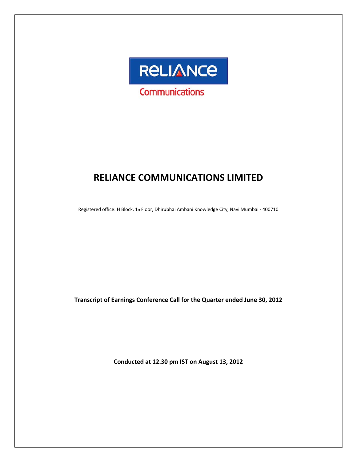

# **RELIANCE COMMUNICATIONS LIMITED**

Registered office: H Block, 1st Floor, Dhirubhai Ambani Knowledge City, Navi Mumbai - 400710

**Transcript of Earnings Conference Call for the Quarter ended June 30, 2012**

**Conducted at 12.30 pm IST on August 13, 2012**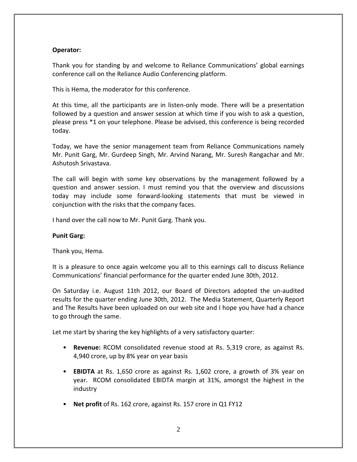# **Operator:**

Thank you for standing by and welcome to Reliance Communications' global earnings conference call on the Reliance Audio Conferencing platform.

This is Hema, the moderator for this conference.

At this time, all the participants are in listen-only mode. There will be a presentation followed by a question and answer session at which time if you wish to ask a question, please press \*1 on your telephone. Please be advised, this conference is being recorded today.

Today, we have the senior management team from Reliance Communications namely Mr. Punit Garg, Mr. Gurdeep Singh, Mr. Arvind Narang, Mr. Suresh Rangachar and Mr. Ashutosh Srivastava.

The call will begin with some key observations by the management followed by a question and answer session. I must remind you that the overview and discussions today may include some forward‐looking statements that must be viewed in conjunction with the risks that the company faces.

I hand over the call now to Mr. Punit Garg. Thank you.

# **Punit Garg:**

Thank you, Hema.

It is a pleasure to once again welcome you all to this earnings call to discuss Reliance Communications' financial performance for the quarter ended June 30th, 2012.

On Saturday i.e. August 11th 2012, our Board of Directors adopted the un‐audited results for the quarter ending June 30th, 2012. The Media Statement, Quarterly Report and The Results have been uploaded on our web site and I hope you have had a chance to go through the same.

Let me start by sharing the key highlights of a very satisfactory quarter:

- **Revenue:** RCOM consolidated revenue stood at Rs. 5,319 crore, as against Rs. 4,940 crore, up by 8% year on year basis
- **EBIDTA** at Rs. 1,650 crore as against Rs. 1,602 crore, a growth of 3% year on year. RCOM consolidated EBIDTA margin at 31%, amongst the highest in the industry
- **Net profit** of Rs. 162 crore, against Rs. 157 crore in Q1 FY12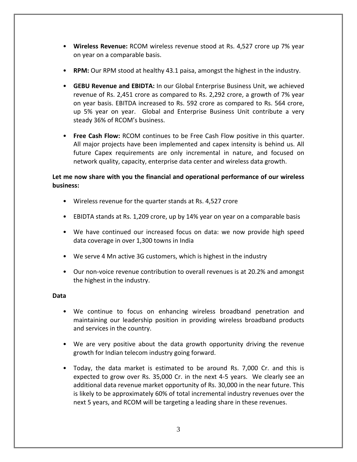- **Wireless Revenue:** RCOM wireless revenue stood at Rs. 4,527 crore up 7% year on year on a comparable basis.
- **RPM:** Our RPM stood at healthy 43.1 paisa, amongst the highest in the industry.
- **GEBU Revenue and EBIDTA:** In our Global Enterprise Business Unit, we achieved revenue of Rs. 2,451 crore as compared to Rs. 2,292 crore, a growth of 7% year on year basis. EBITDA increased to Rs. 592 crore as compared to Rs. 564 crore, up 5% year on year. Global and Enterprise Business Unit contribute a very steady 36% of RCOM's business.
- **Free Cash Flow:** RCOM continues to be Free Cash Flow positive in this quarter. All major projects have been implemented and capex intensity is behind us. All future Capex requirements are only incremental in nature, and focused on network quality, capacity, enterprise data center and wireless data growth.

# **Let me now share with you the financial and operational performance of our wireless business:**

- Wireless revenue for the quarter stands at Rs. 4,527 crore
- EBIDTA stands at Rs. 1,209 crore, up by 14% year on year on a comparable basis
- We have continued our increased focus on data: we now provide high speed data coverage in over 1,300 towns in India
- We serve 4 Mn active 3G customers, which is highest in the industry
- Our non‐voice revenue contribution to overall revenues is at 20.2% and amongst the highest in the industry.

# **Data**

- We continue to focus on enhancing wireless broadband penetration and maintaining our leadership position in providing wireless broadband products and services in the country.
- We are very positive about the data growth opportunity driving the revenue growth for Indian telecom industry going forward.
- Today, the data market is estimated to be around Rs. 7,000 Cr. and this is expected to grow over Rs. 35,000 Cr. in the next 4‐5 years. We clearly see an additional data revenue market opportunity of Rs. 30,000 in the near future. This is likely to be approximately 60% of total incremental industry revenues over the next 5 years, and RCOM will be targeting a leading share in these revenues.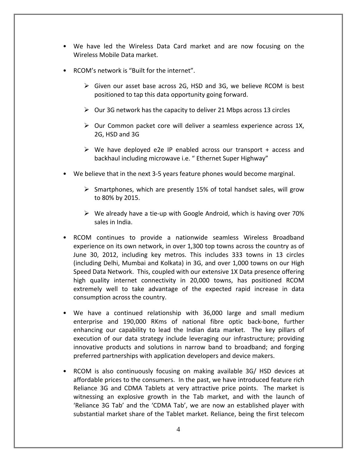- We have led the Wireless Data Card market and are now focusing on the Wireless Mobile Data market.
- RCOM's network is "Built for the internet".
	- ¾ Given our asset base across 2G, HSD and 3G, we believe RCOM is best positioned to tap this data opportunity going forward.
	- $\triangleright$  Our 3G network has the capacity to deliver 21 Mbps across 13 circles
	- $\triangleright$  Our Common packet core will deliver a seamless experience across 1X, 2G, HSD and 3G
	- $\triangleright$  We have deployed e2e IP enabled across our transport + access and backhaul including microwave i.e. " Ethernet Super Highway"
- We believe that in the next 3‐5 years feature phones would become marginal.
	- $\triangleright$  Smartphones, which are presently 15% of total handset sales, will grow to 80% by 2015.
	- ¾ We already have a tie‐up with Google Android, which is having over 70% sales in India.
- RCOM continues to provide a nationwide seamless Wireless Broadband experience on its own network, in over 1,300 top towns across the country as of June 30, 2012, including key metros. This includes 333 towns in 13 circles (including Delhi, Mumbai and Kolkata) in 3G, and over 1,000 towns on our High Speed Data Network. This, coupled with our extensive 1X Data presence offering high quality internet connectivity in 20,000 towns, has positioned RCOM extremely well to take advantage of the expected rapid increase in data consumption across the country.
- We have a continued relationship with 36,000 large and small medium enterprise and 190,000 RKms of national fibre optic back‐bone, further enhancing our capability to lead the Indian data market. The key pillars of execution of our data strategy include leveraging our infrastructure; providing innovative products and solutions in narrow band to broadband; and forging preferred partnerships with application developers and device makers.
- RCOM is also continuously focusing on making available 3G/ HSD devices at affordable prices to the consumers. In the past, we have introduced feature rich Reliance 3G and CDMA Tablets at very attractive price points. The market is witnessing an explosive growth in the Tab market, and with the launch of 'Reliance 3G Tab' and the 'CDMA Tab', we are now an established player with substantial market share of the Tablet market. Reliance, being the first telecom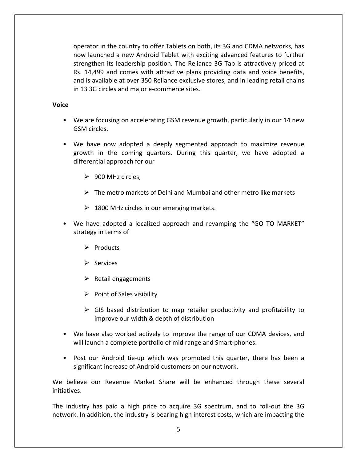operator in the country to offer Tablets on both, its 3G and CDMA networks, has now launched a new Android Tablet with exciting advanced features to further strengthen its leadership position. The Reliance 3G Tab is attractively priced at Rs. 14,499 and comes with attractive plans providing data and voice benefits, and is available at over 350 Reliance exclusive stores, and in leading retail chains in 13 3G circles and major e‐commerce sites.

# **Voice**

- We are focusing on accelerating GSM revenue growth, particularly in our 14 new GSM circles.
- We have now adopted a deeply segmented approach to maximize revenue growth in the coming quarters. During this quarter, we have adopted a differential approach for our
	- $\geq$  900 MHz circles,
	- $\triangleright$  The metro markets of Delhi and Mumbai and other metro like markets
	- $\geq 1800$  MHz circles in our emerging markets.
- We have adopted a localized approach and revamping the "GO TO MARKET" strategy in terms of
	- $\triangleright$  Products
	- $\triangleright$  Services
	- $\triangleright$  Retail engagements
	- $\triangleright$  Point of Sales visibility
	- $\triangleright$  GIS based distribution to map retailer productivity and profitability to improve our width & depth of distribution
- We have also worked actively to improve the range of our CDMA devices, and will launch a complete portfolio of mid range and Smart‐phones.
- Post our Android tie-up which was promoted this quarter, there has been a significant increase of Android customers on our network.

We believe our Revenue Market Share will be enhanced through these several initiatives.

The industry has paid a high price to acquire 3G spectrum, and to roll‐out the 3G network. In addition, the industry is bearing high interest costs, which are impacting the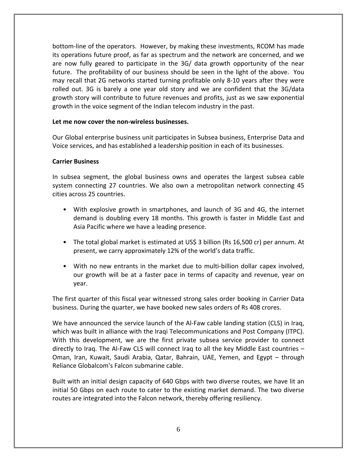bottom‐line of the operators. However, by making these investments, RCOM has made its operations future proof, as far as spectrum and the network are concerned, and we are now fully geared to participate in the 3G/ data growth opportunity of the near future. The profitability of our business should be seen in the light of the above. You may recall that 2G networks started turning profitable only 8‐10 years after they were rolled out. 3G is barely a one year old story and we are confident that the 3G/data growth story will contribute to future revenues and profits, just as we saw exponential growth in the voice segment of the Indian telecom industry in the past.

# **Let me now cover the non‐wireless businesses.**

Our Global enterprise business unit participates in Subsea business, Enterprise Data and Voice services, and has established a leadership position in each of its businesses.

# **Carrier Business**

In subsea segment, the global business owns and operates the largest subsea cable system connecting 27 countries. We also own a metropolitan network connecting 45 cities across 25 countries.

- With explosive growth in smartphones, and launch of 3G and 4G, the internet demand is doubling every 18 months. This growth is faster in Middle East and Asia Pacific where we have a leading presence.
- The total global market is estimated at US\$ 3 billion (Rs 16,500 cr) per annum. At present, we carry approximately 12% of the world's data traffic.
- With no new entrants in the market due to multi-billion dollar capex involved, our growth will be at a faster pace in terms of capacity and revenue, year on year.

The first quarter of this fiscal year witnessed strong sales order booking in Carrier Data business. During the quarter, we have booked new sales orders of Rs 408 crores.

We have announced the service launch of the Al-Faw cable landing station (CLS) in Iraq, which was built in alliance with the Iraqi Telecommunications and Post Company (ITPC). With this development, we are the first private subsea service provider to connect directly to Iraq. The Al‐Faw CLS will connect Iraq to all the key Middle East countries – Oman, Iran, Kuwait, Saudi Arabia, Qatar, Bahrain, UAE, Yemen, and Egypt – through Reliance Globalcom's Falcon submarine cable.

Built with an initial design capacity of 640 Gbps with two diverse routes, we have lit an initial 50 Gbps on each route to cater to the existing market demand. The two diverse routes are integrated into the Falcon network, thereby offering resiliency.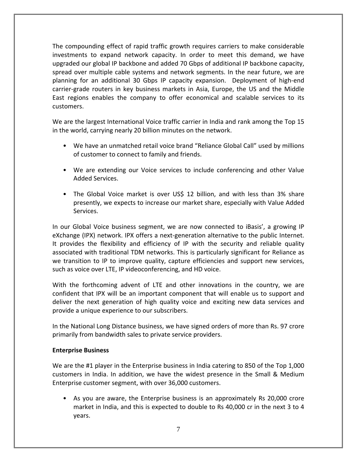The compounding effect of rapid traffic growth requires carriers to make considerable investments to expand network capacity. In order to meet this demand, we have upgraded our global IP backbone and added 70 Gbps of additional IP backbone capacity, spread over multiple cable systems and network segments. In the near future, we are planning for an additional 30 Gbps IP capacity expansion. Deployment of high‐end carrier‐grade routers in key business markets in Asia, Europe, the US and the Middle East regions enables the company to offer economical and scalable services to its customers.

We are the largest International Voice traffic carrier in India and rank among the Top 15 in the world, carrying nearly 20 billion minutes on the network.

- We have an unmatched retail voice brand "Reliance Global Call" used by millions of customer to connect to family and friends.
- We are extending our Voice services to include conferencing and other Value Added Services.
- The Global Voice market is over US\$ 12 billion, and with less than 3% share presently, we expects to increase our market share, especially with Value Added Services.

In our Global Voice business segment, we are now connected to iBasis', a growing IP eXchange (IPX) network. IPX offers a next-generation alternative to the public Internet. It provides the flexibility and efficiency of IP with the security and reliable quality associated with traditional TDM networks. This is particularly significant for Reliance as we transition to IP to improve quality, capture efficiencies and support new services, such as voice over LTE, IP videoconferencing, and HD voice.

With the forthcoming advent of LTE and other innovations in the country, we are confident that IPX will be an important component that will enable us to support and deliver the next generation of high quality voice and exciting new data services and provide a unique experience to our subscribers.

In the National Long Distance business, we have signed orders of more than Rs. 97 crore primarily from bandwidth sales to private service providers.

# **Enterprise Business**

We are the #1 player in the Enterprise business in India catering to 850 of the Top 1,000 customers in India. In addition, we have the widest presence in the Small & Medium Enterprise customer segment, with over 36,000 customers.

• As you are aware, the Enterprise business is an approximately Rs 20,000 crore market in India, and this is expected to double to Rs 40,000 cr in the next 3 to 4 years.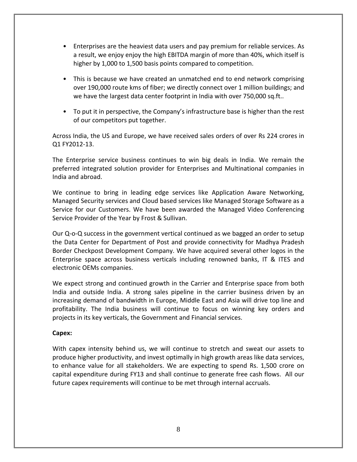- Enterprises are the heaviest data users and pay premium for reliable services. As a result, we enjoy enjoy the high EBITDA margin of more than 40%, which itself is higher by 1,000 to 1,500 basis points compared to competition.
- This is because we have created an unmatched end to end network comprising over 190,000 route kms of fiber; we directly connect over 1 million buildings; and we have the largest data center footprint in India with over 750,000 sq.ft..
- To put it in perspective, the Company's infrastructure base is higher than the rest of our competitors put together.

Across India, the US and Europe, we have received sales orders of over Rs 224 crores in Q1 FY2012‐13.

The Enterprise service business continues to win big deals in India. We remain the preferred integrated solution provider for Enterprises and Multinational companies in India and abroad.

We continue to bring in leading edge services like Application Aware Networking, Managed Security services and Cloud based services like Managed Storage Software as a Service for our Customers. We have been awarded the Managed Video Conferencing Service Provider of the Year by Frost & Sullivan.

Our Q‐o‐Q success in the government vertical continued as we bagged an order to setup the Data Center for Department of Post and provide connectivity for Madhya Pradesh Border Checkpost Development Company. We have acquired several other logos in the Enterprise space across business verticals including renowned banks, IT & ITES and electronic OEMs companies.

We expect strong and continued growth in the Carrier and Enterprise space from both India and outside India. A strong sales pipeline in the carrier business driven by an increasing demand of bandwidth in Europe, Middle East and Asia will drive top line and profitability. The India business will continue to focus on winning key orders and projects in its key verticals, the Government and Financial services.

# **Capex:**

With capex intensity behind us, we will continue to stretch and sweat our assets to produce higher productivity, and invest optimally in high growth areas like data services, to enhance value for all stakeholders. We are expecting to spend Rs. 1,500 crore on capital expenditure during FY13 and shall continue to generate free cash flows. All our future capex requirements will continue to be met through internal accruals.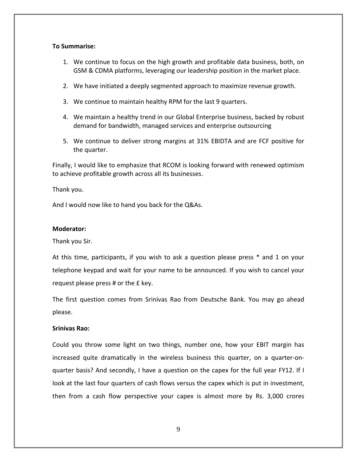# **To Summarise:**

- 1. We continue to focus on the high growth and profitable data business, both, on GSM & CDMA platforms, leveraging our leadership position in the market place.
- 2. We have initiated a deeply segmented approach to maximize revenue growth.
- 3. We continue to maintain healthy RPM for the last 9 quarters.
- 4. We maintain a healthy trend in our Global Enterprise business, backed by robust demand for bandwidth, managed services and enterprise outsourcing
- 5. We continue to deliver strong margins at 31% EBIDTA and are FCF positive for the quarter.

Finally, I would like to emphasize that RCOM is looking forward with renewed optimism to achieve profitable growth across all its businesses.

Thank you.

And I would now like to hand you back for the Q&As.

# **Moderator:**

Thank you Sir.

At this time, participants, if you wish to ask a question please press \* and 1 on your telephone keypad and wait for your name to be announced. If you wish to cancel your request please press # or the £ key.

The first question comes from Srinivas Rao from Deutsche Bank. You may go ahead please.

# **Srinivas Rao:**

Could you throw some light on two things, number one, how your EBIT margin has increased quite dramatically in the wireless business this quarter, on a quarter-onquarter basis? And secondly, I have a question on the capex for the full year FY12. If I look at the last four quarters of cash flows versus the capex which is put in investment, then from a cash flow perspective your capex is almost more by Rs. 3,000 crores

9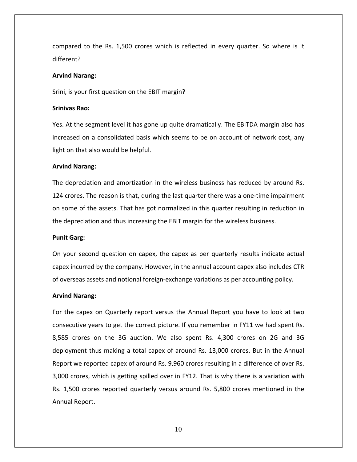compared to the Rs. 1,500 crores which is reflected in every quarter. So where is it different?

#### **Arvind Narang:**

Srini, is your first question on the EBIT margin?

#### **Srinivas Rao:**

Yes. At the segment level it has gone up quite dramatically. The EBITDA margin also has increased on a consolidated basis which seems to be on account of network cost, any light on that also would be helpful.

## **Arvind Narang:**

The depreciation and amortization in the wireless business has reduced by around Rs. 124 crores. The reason is that, during the last quarter there was a one-time impairment on some of the assets. That has got normalized in this quarter resulting in reduction in the depreciation and thus increasing the EBIT margin for the wireless business.

## **Punit Garg:**

On your second question on capex, the capex as per quarterly results indicate actual capex incurred by the company. However, in the annual account capex also includes CTR of overseas assets and notional foreign‐exchange variations as per accounting policy.

#### **Arvind Narang:**

For the capex on Quarterly report versus the Annual Report you have to look at two consecutive years to get the correct picture. If you remember in FY11 we had spent Rs. 8,585 crores on the 3G auction. We also spent Rs. 4,300 crores on 2G and 3G deployment thus making a total capex of around Rs. 13,000 crores. But in the Annual Report we reported capex of around Rs. 9,960 crores resulting in a difference of over Rs. 3,000 crores, which is getting spilled over in FY12. That is why there is a variation with Rs. 1,500 crores reported quarterly versus around Rs. 5,800 crores mentioned in the Annual Report.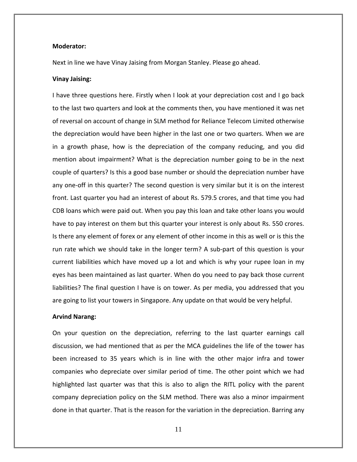#### **Moderator:**

Next in line we have Vinay Jaising from Morgan Stanley. Please go ahead.

#### **Vinay Jaising:**

I have three questions here. Firstly when I look at your depreciation cost and I go back to the last two quarters and look at the comments then, you have mentioned it was net of reversal on account of change in SLM method for Reliance Telecom Limited otherwise the depreciation would have been higher in the last one or two quarters. When we are in a growth phase, how is the depreciation of the company reducing, and you did mention about impairment? What is the depreciation number going to be in the next couple of quarters? Is this a good base number or should the depreciation number have any one‐off in this quarter? The second question is very similar but it is on the interest front. Last quarter you had an interest of about Rs. 579.5 crores, and that time you had CDB loans which were paid out. When you pay this loan and take other loans you would have to pay interest on them but this quarter your interest is only about Rs. 550 crores. Is there any element of forex or any element of other income in this as well or is this the run rate which we should take in the longer term? A sub‐part of this question is your current liabilities which have moved up a lot and which is why your rupee loan in my eyes has been maintained as last quarter. When do you need to pay back those current liabilities? The final question I have is on tower. As per media, you addressed that you are going to list your towers in Singapore. Any update on that would be very helpful.

#### **Arvind Narang:**

On your question on the depreciation, referring to the last quarter earnings call discussion, we had mentioned that as per the MCA guidelines the life of the tower has been increased to 35 years which is in line with the other major infra and tower companies who depreciate over similar period of time. The other point which we had highlighted last quarter was that this is also to align the RITL policy with the parent company depreciation policy on the SLM method. There was also a minor impairment done in that quarter. That is the reason for the variation in the depreciation. Barring any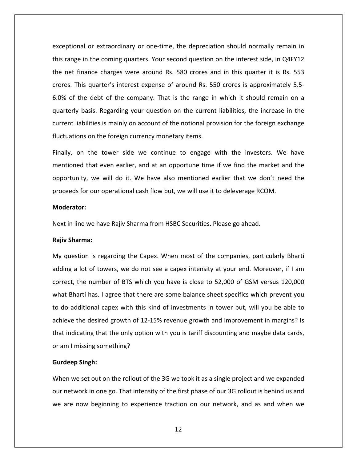exceptional or extraordinary or one‐time, the depreciation should normally remain in this range in the coming quarters. Your second question on the interest side, in Q4FY12 the net finance charges were around Rs. 580 crores and in this quarter it is Rs. 553 crores. This quarter's interest expense of around Rs. 550 crores is approximately 5.5‐ 6.0% of the debt of the company. That is the range in which it should remain on a quarterly basis. Regarding your question on the current liabilities, the increase in the current liabilities is mainly on account of the notional provision for the foreign exchange fluctuations on the foreign currency monetary items.

Finally, on the tower side we continue to engage with the investors. We have mentioned that even earlier, and at an opportune time if we find the market and the opportunity, we will do it. We have also mentioned earlier that we don't need the proceeds for our operational cash flow but, we will use it to deleverage RCOM.

#### **Moderator:**

Next in line we have Rajiv Sharma from HSBC Securities. Please go ahead.

#### **Rajiv Sharma:**

My question is regarding the Capex. When most of the companies, particularly Bharti adding a lot of towers, we do not see a capex intensity at your end. Moreover, if I am correct, the number of BTS which you have is close to 52,000 of GSM versus 120,000 what Bharti has. I agree that there are some balance sheet specifics which prevent you to do additional capex with this kind of investments in tower but, will you be able to achieve the desired growth of 12‐15% revenue growth and improvement in margins? Is that indicating that the only option with you is tariff discounting and maybe data cards, or am I missing something?

#### **Gurdeep Singh:**

When we set out on the rollout of the 3G we took it as a single project and we expanded our network in one go. That intensity of the first phase of our 3G rollout is behind us and we are now beginning to experience traction on our network, and as and when we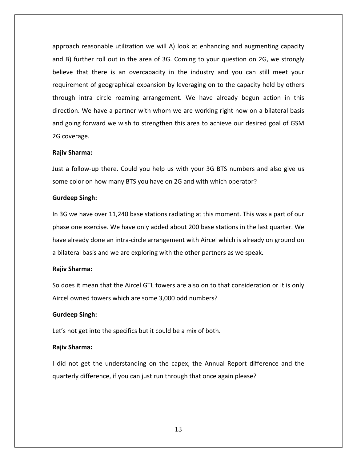approach reasonable utilization we will A) look at enhancing and augmenting capacity and B) further roll out in the area of 3G. Coming to your question on 2G, we strongly believe that there is an overcapacity in the industry and you can still meet your requirement of geographical expansion by leveraging on to the capacity held by others through intra circle roaming arrangement. We have already begun action in this direction. We have a partner with whom we are working right now on a bilateral basis and going forward we wish to strengthen this area to achieve our desired goal of GSM 2G coverage.

## **Rajiv Sharma:**

Just a follow‐up there. Could you help us with your 3G BTS numbers and also give us some color on how many BTS you have on 2G and with which operator?

## **Gurdeep Singh:**

In 3G we have over 11,240 base stations radiating at this moment. This was a part of our phase one exercise. We have only added about 200 base stations in the last quarter. We have already done an intra‐circle arrangement with Aircel which is already on ground on a bilateral basis and we are exploring with the other partners as we speak.

# **Rajiv Sharma:**

So does it mean that the Aircel GTL towers are also on to that consideration or it is only Aircel owned towers which are some 3,000 odd numbers?

# **Gurdeep Singh:**

Let's not get into the specifics but it could be a mix of both.

# **Rajiv Sharma:**

I did not get the understanding on the capex, the Annual Report difference and the quarterly difference, if you can just run through that once again please?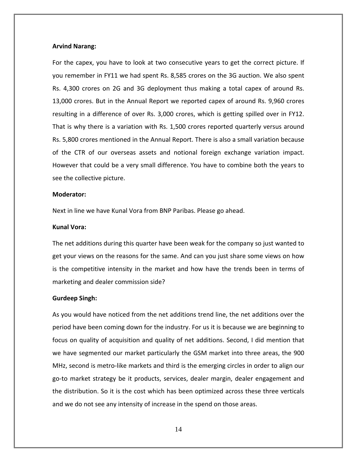## **Arvind Narang:**

For the capex, you have to look at two consecutive years to get the correct picture. If you remember in FY11 we had spent Rs. 8,585 crores on the 3G auction. We also spent Rs. 4,300 crores on 2G and 3G deployment thus making a total capex of around Rs. 13,000 crores. But in the Annual Report we reported capex of around Rs. 9,960 crores resulting in a difference of over Rs. 3,000 crores, which is getting spilled over in FY12. That is why there is a variation with Rs. 1,500 crores reported quarterly versus around Rs. 5,800 crores mentioned in the Annual Report. There is also a small variation because of the CTR of our overseas assets and notional foreign exchange variation impact. However that could be a very small difference. You have to combine both the years to see the collective picture.

#### **Moderator:**

Next in line we have Kunal Vora from BNP Paribas. Please go ahead.

## **Kunal Vora:**

The net additions during this quarter have been weak for the company so just wanted to get your views on the reasons for the same. And can you just share some views on how is the competitive intensity in the market and how have the trends been in terms of marketing and dealer commission side?

#### **Gurdeep Singh:**

As you would have noticed from the net additions trend line, the net additions over the period have been coming down for the industry. For us it is because we are beginning to focus on quality of acquisition and quality of net additions. Second, I did mention that we have segmented our market particularly the GSM market into three areas, the 900 MHz, second is metro‐like markets and third is the emerging circles in order to align our go‐to market strategy be it products, services, dealer margin, dealer engagement and the distribution. So it is the cost which has been optimized across these three verticals and we do not see any intensity of increase in the spend on those areas.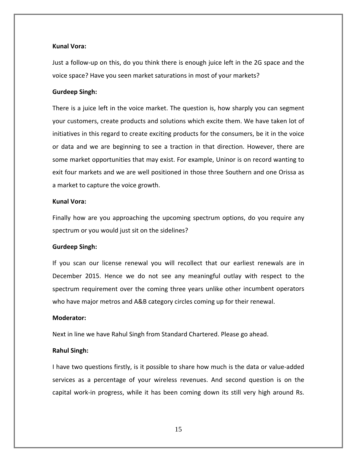## **Kunal Vora:**

Just a follow‐up on this, do you think there is enough juice left in the 2G space and the voice space? Have you seen market saturations in most of your markets?

#### **Gurdeep Singh:**

There is a juice left in the voice market. The question is, how sharply you can segment your customers, create products and solutions which excite them. We have taken lot of initiatives in this regard to create exciting products for the consumers, be it in the voice or data and we are beginning to see a traction in that direction. However, there are some market opportunities that may exist. For example, Uninor is on record wanting to exit four markets and we are well positioned in those three Southern and one Orissa as a market to capture the voice growth.

## **Kunal Vora:**

Finally how are you approaching the upcoming spectrum options, do you require any spectrum or you would just sit on the sidelines?

## **Gurdeep Singh:**

If you scan our license renewal you will recollect that our earliest renewals are in December 2015. Hence we do not see any meaningful outlay with respect to the spectrum requirement over the coming three years unlike other incumbent operators who have major metros and A&B category circles coming up for their renewal.

# **Moderator:**

Next in line we have Rahul Singh from Standard Chartered. Please go ahead.

# **Rahul Singh:**

I have two questions firstly, is it possible to share how much is the data or value‐added services as a percentage of your wireless revenues. And second question is on the capital work‐in progress, while it has been coming down its still very high around Rs.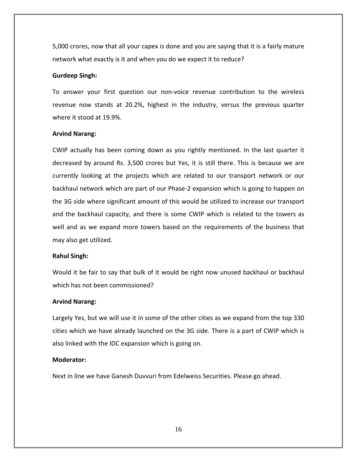5,000 crores, now that all your capex is done and you are saying that it is a fairly mature network what exactly is it and when you do we expect it to reduce?

## **Gurdeep Singh:**

To answer your first question our non‐voice revenue contribution to the wireless revenue now stands at 20.2%, highest in the industry, versus the previous quarter where it stood at 19.9%.

## **Arvind Narang:**

CWIP actually has been coming down as you rightly mentioned. In the last quarter it decreased by around Rs. 3,500 crores but Yes, it is still there. This is because we are currently looking at the projects which are related to our transport network or our backhaul network which are part of our Phase‐2 expansion which is going to happen on the 3G side where significant amount of this would be utilized to increase our transport and the backhaul capacity, and there is some CWIP which is related to the towers as well and as we expand more towers based on the requirements of the business that may also get utilized.

## **Rahul Singh:**

Would it be fair to say that bulk of it would be right now unused backhaul or backhaul which has not been commissioned?

#### **Arvind Narang:**

Largely Yes, but we will use it in some of the other cities as we expand from the top 330 cities which we have already launched on the 3G side. There is a part of CWIP which is also linked with the IDC expansion which is going on.

# **Moderator:**

Next in line we have Ganesh Duvvuri from Edelweiss Securities. Please go ahead.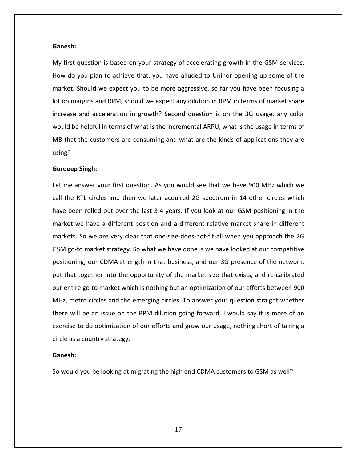#### **Ganesh:**

My first question is based on your strategy of accelerating growth in the GSM services. How do you plan to achieve that, you have alluded to Uninor opening up some of the market. Should we expect you to be more aggressive, so far you have been focusing a lot on margins and RPM, should we expect any dilution in RPM in terms of market share increase and acceleration in growth? Second question is on the 3G usage, any color would be helpful in terms of what is the incremental ARPU, what is the usage in terms of MB that the customers are consuming and what are the kinds of applications they are using?

#### **Gurdeep Singh:**

Let me answer your first question. As you would see that we have 900 MHz which we call the RTL circles and then we later acquired 2G spectrum in 14 other circles which have been rolled out over the last 3‐4 years. If you look at our GSM positioning in the market we have a different position and a different relative market share in different markets. So we are very clear that one‐size‐does‐not‐fit‐all when you approach the 2G GSM go‐to market strategy. So what we have done is we have looked at our competitive positioning, our CDMA strength in that business, and our 3G presence of the network, put that together into the opportunity of the market size that exists, and re‐calibrated our entire go‐to market which is nothing but an optimization of our efforts between 900 MHz, metro circles and the emerging circles. To answer your question straight whether there will be an issue on the RPM dilution going forward, I would say it is more of an exercise to do optimization of our efforts and grow our usage, nothing short of taking a circle as a country strategy.

#### **Ganesh:**

So would you be looking at migrating the high end CDMA customers to GSM as well?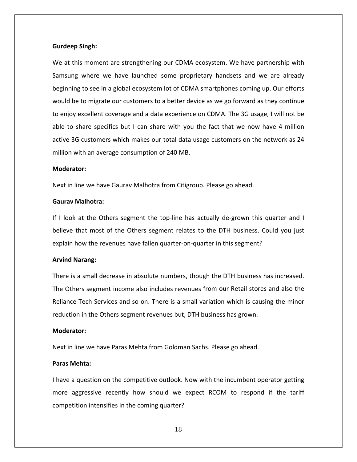#### **Gurdeep Singh:**

We at this moment are strengthening our CDMA ecosystem. We have partnership with Samsung where we have launched some proprietary handsets and we are already beginning to see in a global ecosystem lot of CDMA smartphones coming up. Our efforts would be to migrate our customers to a better device as we go forward as they continue to enjoy excellent coverage and a data experience on CDMA. The 3G usage, I will not be able to share specifics but I can share with you the fact that we now have 4 million active 3G customers which makes our total data usage customers on the network as 24 million with an average consumption of 240 MB.

## **Moderator:**

Next in line we have Gaurav Malhotra from Citigroup. Please go ahead.

## **Gaurav Malhotra:**

If I look at the Others segment the top-line has actually de-grown this quarter and I believe that most of the Others segment relates to the DTH business. Could you just explain how the revenues have fallen quarter-on-quarter in this segment?

#### **Arvind Narang:**

There is a small decrease in absolute numbers, though the DTH business has increased. The Others segment income also includes revenues from our Retail stores and also the Reliance Tech Services and so on. There is a small variation which is causing the minor reduction in the Others segment revenues but, DTH business has grown.

## **Moderator:**

Next in line we have Paras Mehta from Goldman Sachs. Please go ahead.

# **Paras Mehta:**

I have a question on the competitive outlook. Now with the incumbent operator getting more aggressive recently how should we expect RCOM to respond if the tariff competition intensifies in the coming quarter?

18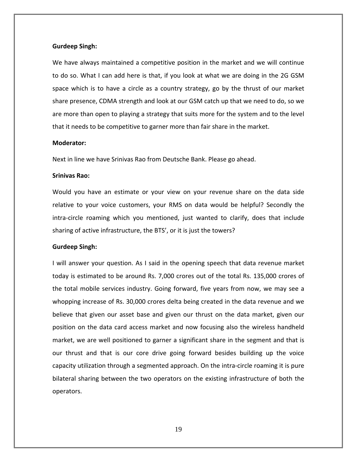#### **Gurdeep Singh:**

We have always maintained a competitive position in the market and we will continue to do so. What I can add here is that, if you look at what we are doing in the 2G GSM space which is to have a circle as a country strategy, go by the thrust of our market share presence, CDMA strength and look at our GSM catch up that we need to do, so we are more than open to playing a strategy that suits more for the system and to the level that it needs to be competitive to garner more than fair share in the market.

# **Moderator:**

Next in line we have Srinivas Rao from Deutsche Bank. Please go ahead.

#### **Srinivas Rao:**

Would you have an estimate or your view on your revenue share on the data side relative to your voice customers, your RMS on data would be helpful? Secondly the intra‐circle roaming which you mentioned, just wanted to clarify, does that include sharing of active infrastructure, the BTS', or it is just the towers?

## **Gurdeep Singh:**

I will answer your question. As I said in the opening speech that data revenue market today is estimated to be around Rs. 7,000 crores out of the total Rs. 135,000 crores of the total mobile services industry. Going forward, five years from now, we may see a whopping increase of Rs. 30,000 crores delta being created in the data revenue and we believe that given our asset base and given our thrust on the data market, given our position on the data card access market and now focusing also the wireless handheld market, we are well positioned to garner a significant share in the segment and that is our thrust and that is our core drive going forward besides building up the voice capacity utilization through a segmented approach. On the intra‐circle roaming it is pure bilateral sharing between the two operators on the existing infrastructure of both the operators.